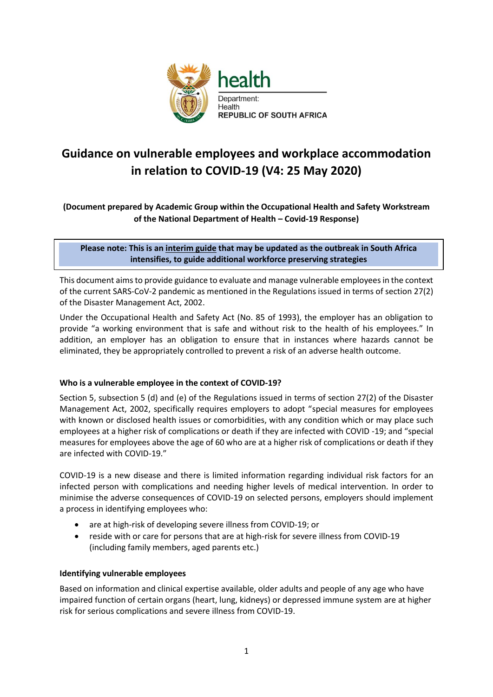

# **Guidance on vulnerable employees and workplace accommodation in relation to COVID-19 (V4: 25 May 2020)**

# **(Document prepared by Academic Group within the Occupational Health and Safety Workstream of the National Department of Health – Covid-19 Response)**

## **Please note: This is an interim guide that may be updated as the outbreak in South Africa intensifies, to guide additional workforce preserving strategies**

This document aims to provide guidance to evaluate and manage vulnerable employees in the context of the current SARS-CoV-2 pandemic as mentioned in the Regulations issued in terms of section 27(2) of the Disaster Management Act, 2002. **Version 1, 17 April 2020**

Under the Occupational Health and Safety Act (No. 85 of 1993), the employer has an obligation to provide "a working environment that is safe and without risk to the health of his employees." In addition, an employer has an obligation to ensure that in instances where hazards cannot be eliminated, they be appropriately controlled to prevent a risk of an adverse health outcome.

### **Who is a vulnerable employee in the context of COVID-19?**

Section 5, subsection 5 (d) and (e) of the Regulations issued in terms of section 27(2) of the Disaster Management Act, 2002, specifically requires employers to adopt "special measures for employees with known or disclosed health issues or comorbidities, with any condition which or may place such employees at a higher risk of complications or death if they are infected with COVID -19; and "special measures for employees above the age of 60 who are at a higher risk of complications or death if they are infected with COVID-19."

COVID-19 is a new disease and there is limited information regarding individual risk factors for an infected person with complications and needing higher levels of medical intervention. In order to minimise the adverse consequences of COVID-19 on selected persons, employers should implement a process in identifying employees who:

- are at high-risk of developing severe illness from COVID-19; or
- reside with or care for persons that are at high-risk for severe illness from COVID-19 (including family members, aged parents etc.)

### **Identifying vulnerable employees**

Based on information and clinical expertise available, older adults and people of any age who have impaired function of certain organs (heart, lung, kidneys) or depressed immune system are at higher risk for serious complications and severe illness from COVID-19.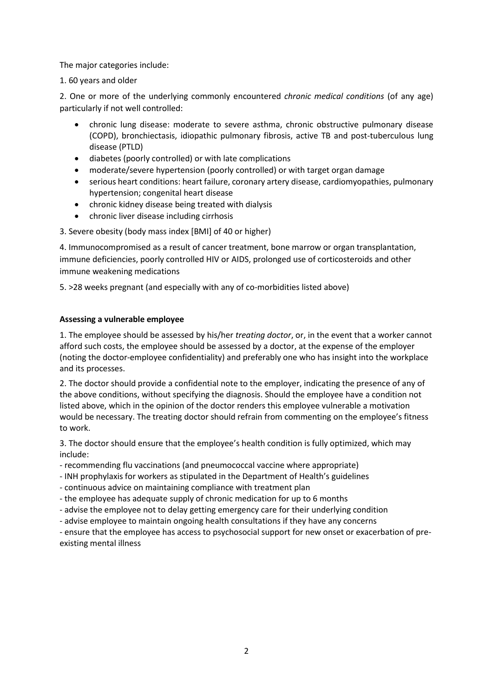The major categories include:

1. 60 years and older

2. One or more of the underlying commonly encountered *chronic medical conditions* (of any age) particularly if not well controlled:

- chronic lung disease: moderate to severe asthma, chronic obstructive pulmonary disease (COPD), bronchiectasis, idiopathic pulmonary fibrosis, active TB and post-tuberculous lung disease (PTLD)
- diabetes (poorly controlled) or with late complications
- moderate/severe hypertension (poorly controlled) or with target organ damage
- serious heart conditions: heart failure, coronary artery disease, cardiomyopathies, pulmonary hypertension; congenital heart disease
- chronic kidney disease being treated with dialysis
- chronic liver disease including cirrhosis

3. Severe obesity (body mass index [BMI] of 40 or higher)

4. Immunocompromised as a result of cancer treatment, bone marrow or organ transplantation, immune deficiencies, poorly controlled HIV or AIDS, prolonged use of corticosteroids and other immune weakening medications

5. >28 weeks pregnant (and especially with any of co-morbidities listed above)

#### **Assessing a vulnerable employee**

1. The employee should be assessed by his/her *treating doctor*, or, in the event that a worker cannot afford such costs, the employee should be assessed by a doctor, at the expense of the employer (noting the doctor-employee confidentiality) and preferably one who has insight into the workplace and its processes.

2. The doctor should provide a confidential note to the employer, indicating the presence of any of the above conditions, without specifying the diagnosis. Should the employee have a condition not listed above, which in the opinion of the doctor renders this employee vulnerable a motivation would be necessary. The treating doctor should refrain from commenting on the employee's fitness to work.

3. The doctor should ensure that the employee's health condition is fully optimized, which may include:

- recommending flu vaccinations (and pneumococcal vaccine where appropriate)

- INH prophylaxis for workers as stipulated in the Department of Health's guidelines

- continuous advice on maintaining compliance with treatment plan

- the employee has adequate supply of chronic medication for up to 6 months

- advise the employee not to delay getting emergency care for their underlying condition

- advise employee to maintain ongoing health consultations if they have any concerns

- ensure that the employee has access to psychosocial support for new onset or exacerbation of preexisting mental illness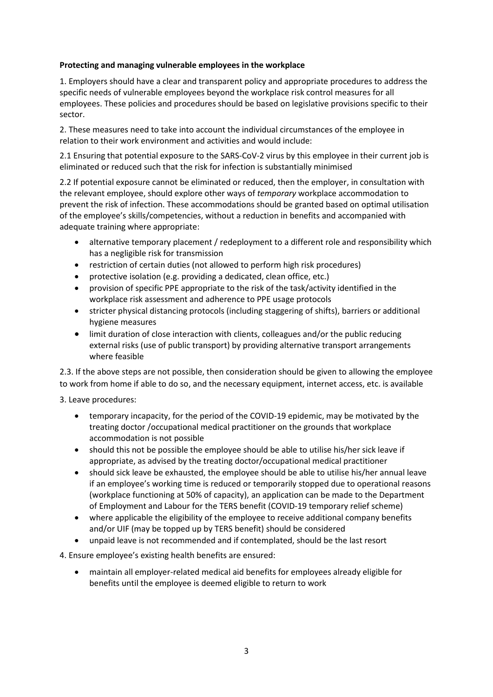#### **Protecting and managing vulnerable employees in the workplace**

1. Employers should have a clear and transparent policy and appropriate procedures to address the specific needs of vulnerable employees beyond the workplace risk control measures for all employees. These policies and procedures should be based on legislative provisions specific to their sector.

2. These measures need to take into account the individual circumstances of the employee in relation to their work environment and activities and would include:

2.1 Ensuring that potential exposure to the SARS-CoV-2 virus by this employee in their current job is eliminated or reduced such that the risk for infection is substantially minimised

2.2 If potential exposure cannot be eliminated or reduced, then the employer, in consultation with the relevant employee, should explore other ways of *temporary* workplace accommodation to prevent the risk of infection. These accommodations should be granted based on optimal utilisation of the employee's skills/competencies, without a reduction in benefits and accompanied with adequate training where appropriate:

- alternative temporary placement / redeployment to a different role and responsibility which has a negligible risk for transmission
- restriction of certain duties (not allowed to perform high risk procedures)
- protective isolation (e.g. providing a dedicated, clean office, etc.)
- provision of specific PPE appropriate to the risk of the task/activity identified in the workplace risk assessment and adherence to PPE usage protocols
- stricter physical distancing protocols (including staggering of shifts), barriers or additional hygiene measures
- limit duration of close interaction with clients, colleagues and/or the public reducing external risks (use of public transport) by providing alternative transport arrangements where feasible

2.3. If the above steps are not possible, then consideration should be given to allowing the employee to work from home if able to do so, and the necessary equipment, internet access, etc. is available

3. Leave procedures:

- temporary incapacity, for the period of the COVID-19 epidemic, may be motivated by the treating doctor /occupational medical practitioner on the grounds that workplace accommodation is not possible
- should this not be possible the employee should be able to utilise his/her sick leave if appropriate, as advised by the treating doctor/occupational medical practitioner
- should sick leave be exhausted, the employee should be able to utilise his/her annual leave if an employee's working time is reduced or temporarily stopped due to operational reasons (workplace functioning at 50% of capacity), an application can be made to the Department of Employment and Labour for the TERS benefit (COVID-19 temporary relief scheme)
- where applicable the eligibility of the employee to receive additional company benefits and/or UIF (may be topped up by TERS benefit) should be considered
- unpaid leave is not recommended and if contemplated, should be the last resort

4. Ensure employee's existing health benefits are ensured:

• maintain all employer-related medical aid benefits for employees already eligible for benefits until the employee is deemed eligible to return to work